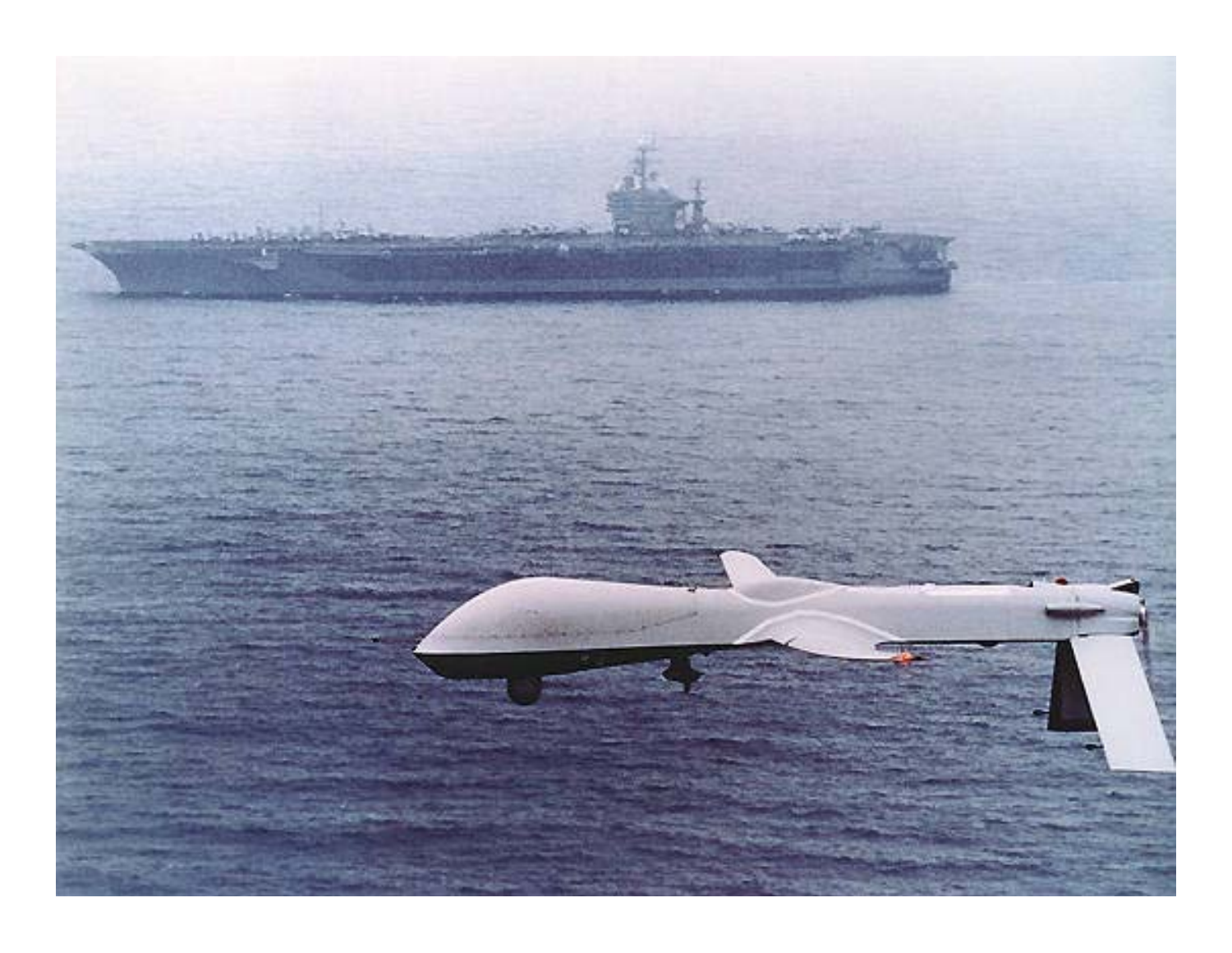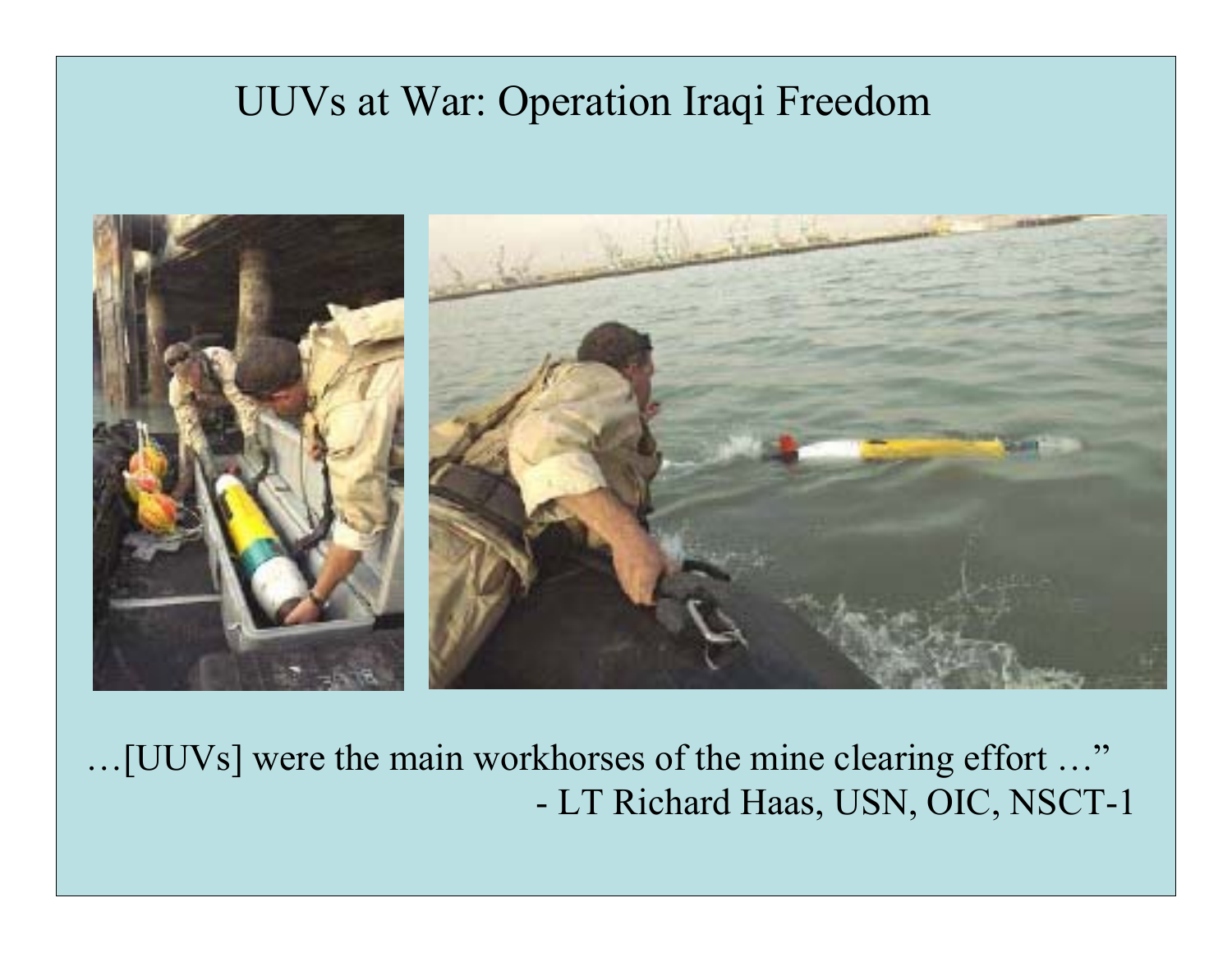## UUVs at War: Operation Iraqi Freedom



…[UUVs] were the main workhorses of the mine clearing effort …" LT Richard Haas, USN, OIC, NSCT-1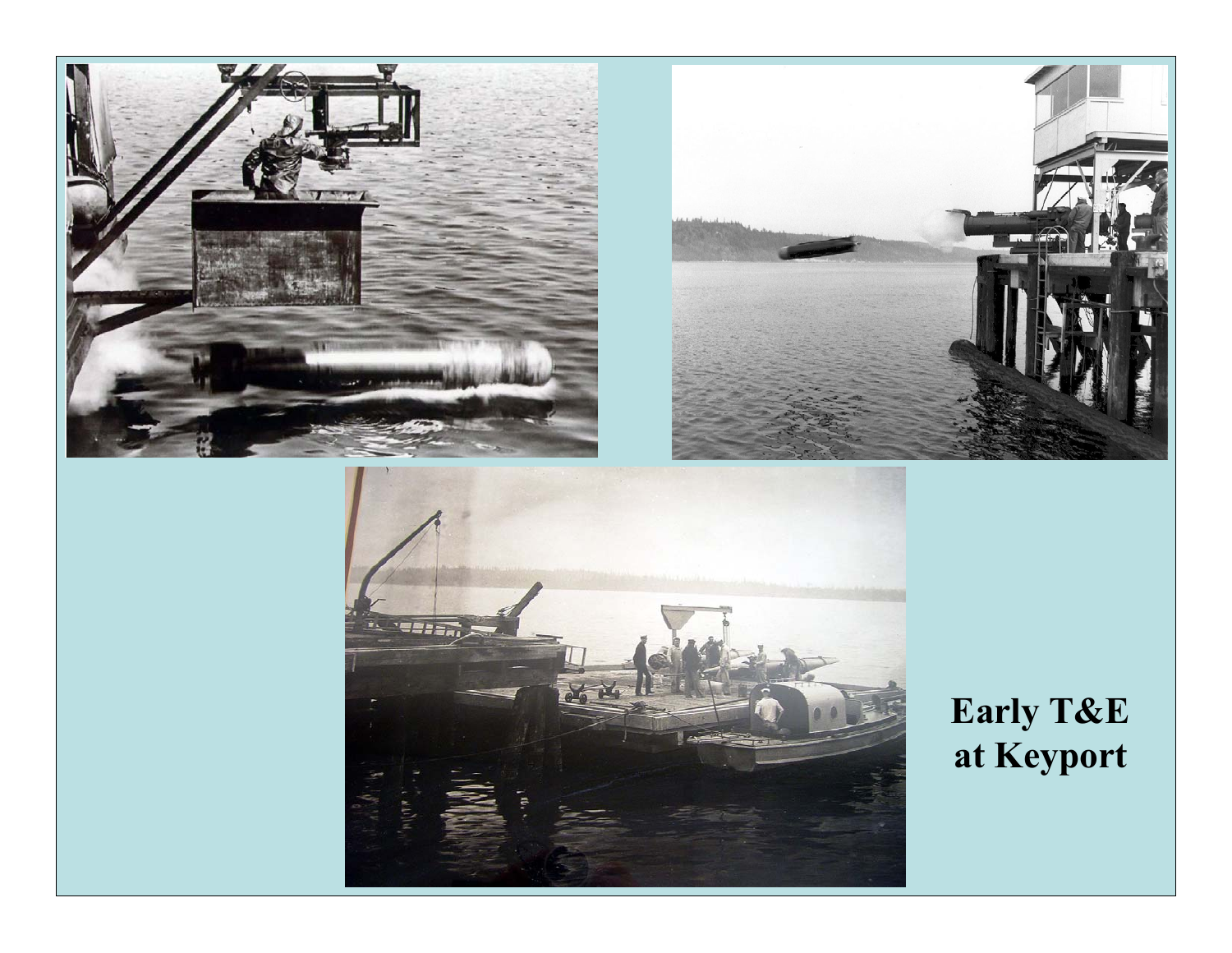





## **Early T&E at Keyport**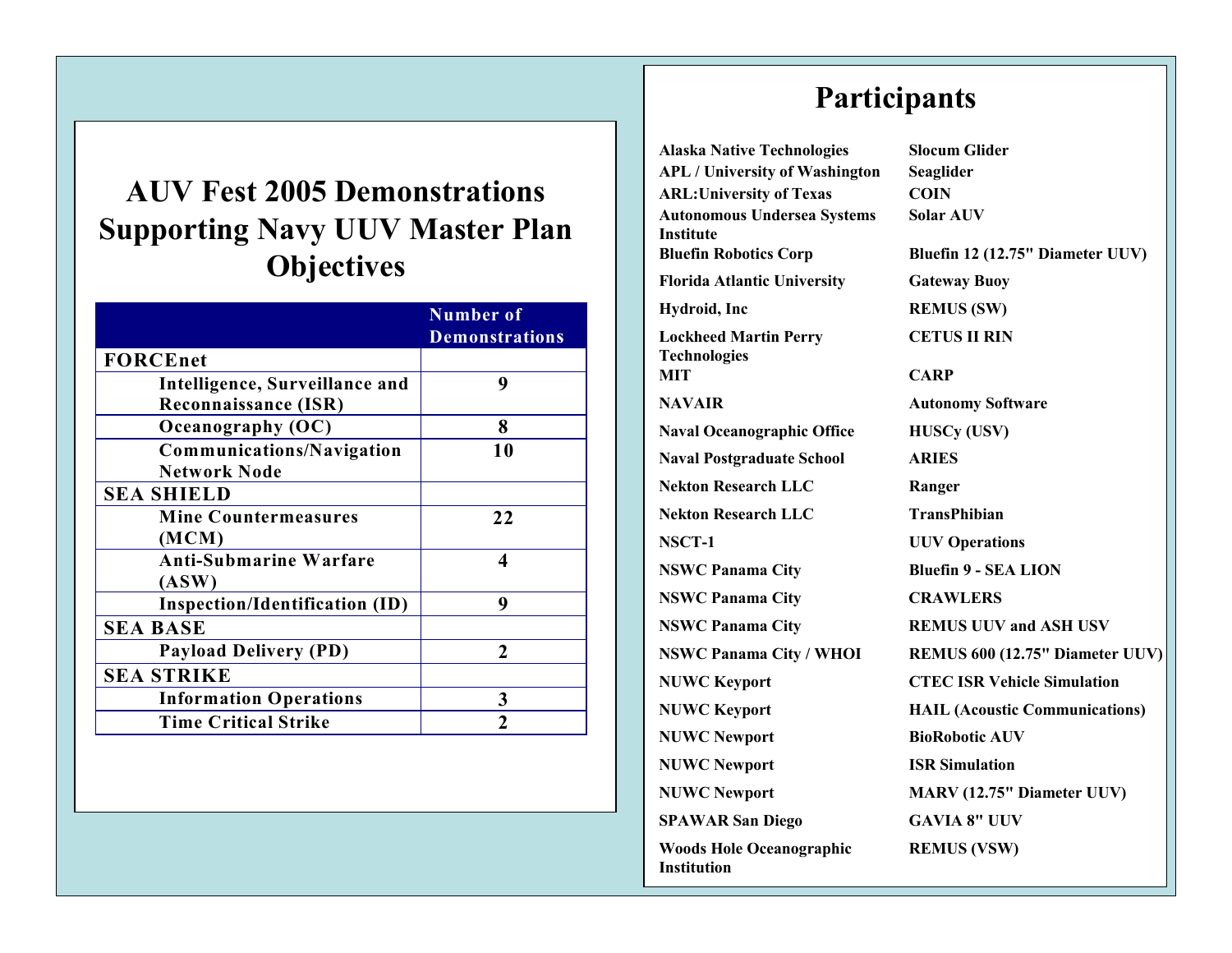#### **Participants**

### **AUV Fest 2005 Demonstrations Supporting Navy UUV Master Plan Objectives**

|                                                               | <b>Number of</b>      |
|---------------------------------------------------------------|-----------------------|
|                                                               | <b>Demonstrations</b> |
| <b>FORCEnet</b>                                               |                       |
| Intelligence, Surveillance and<br><b>Reconnaissance (ISR)</b> | 9                     |
| Oceanography (OC)                                             | 8                     |
| <b>Communications/Navigation</b><br><b>Network Node</b>       | 10                    |
| <b>SEA SHIELD</b>                                             |                       |
| <b>Mine Countermeasures</b><br>(MCM)                          | 22                    |
| <b>Anti-Submarine Warfare</b><br>(ASW)                        | 4                     |
| <b>Inspection/Identification (ID)</b>                         | 9                     |
| <b>SEA BASE</b>                                               |                       |
| <b>Payload Delivery (PD)</b>                                  | $\overline{2}$        |
| <b>SEA STRIKE</b>                                             |                       |
| <b>Information Operations</b>                                 | 3                     |
| <b>Time Critical Strike</b>                                   | 2                     |

**Alaska Native Technologies Slocum Glider APL / University of Washington Seaglider ARL:University of Texas COIN Autonomous Undersea Systems Institute Florida Atlantic University Gateway Buoy Hydroid, Inc REMUS (SW) Lockheed Martin Perry Technologies MIT CARP NAVAIR Autonomy Software Naval Oceanographic Office HUSCy (USV) Naval Postgraduate School ARIES Nekton Research LLC Ranger Nekton Research LLC TransPhibian NSCT-1 UUV Operations NSWC Panama City Bluefin 9 - SEA LION NSWC Panama City CRAWLERS NSWC Panama City REMUS UUV and ASH USV NUWC Keyport CTEC ISR Vehicle Simulation NUWC Newport BioRobotic AUV NUWC Newport ISR Simulation NUWC Newport MARV (12.75" Diameter UUV) SPAWAR San Diego GAVIA 8" UUV Woods Hole Oceanographic Institution** 

**Solar AUV Bluefin Robotics Corp Bluefin 12 (12.75" Diameter UUV) CETUS II RIN NSWC Panama City / WHOI REMUS 600 (12.75" Diameter UUV) NUWC Keyport HAIL (Acoustic Communications) REMUS (VSW)**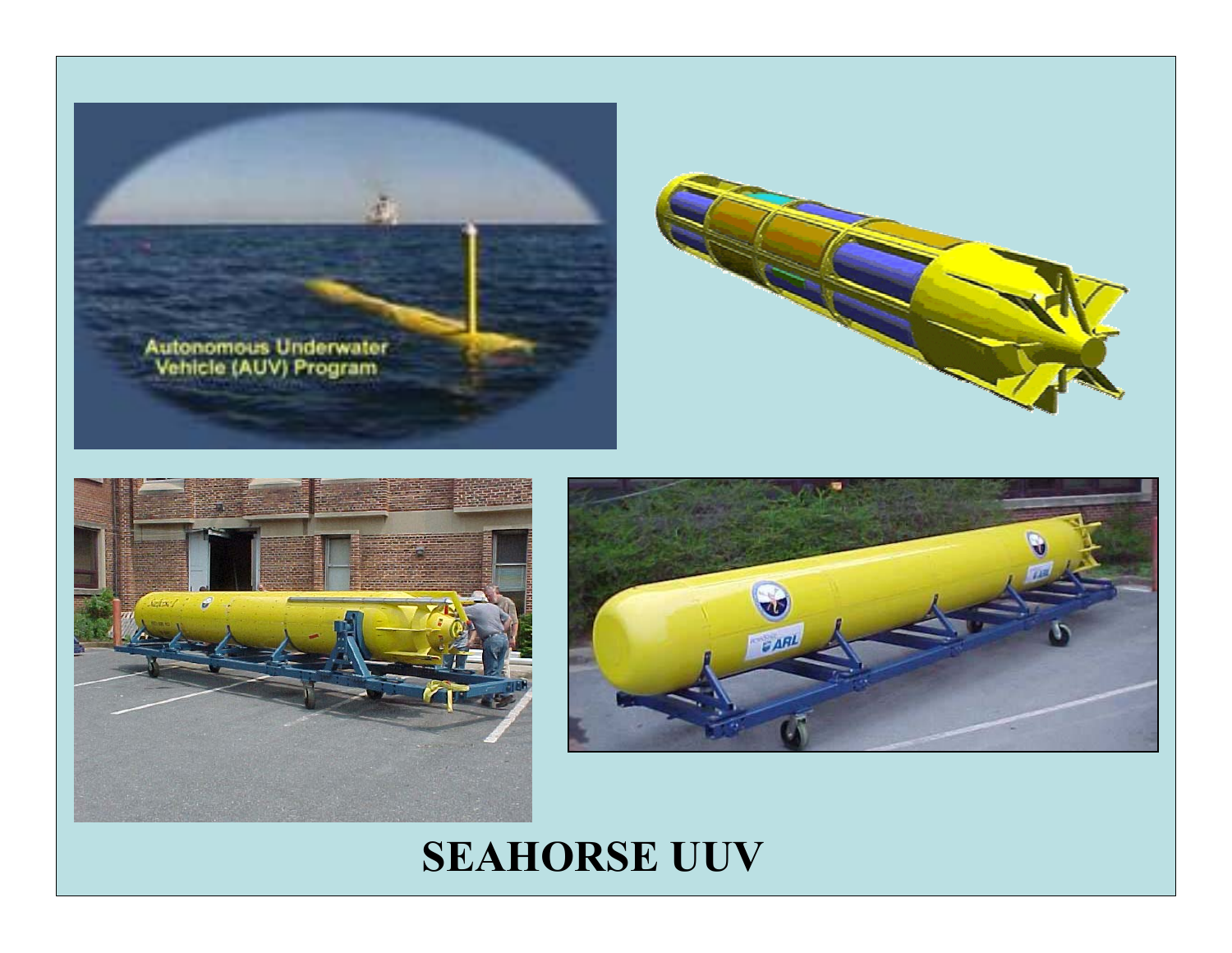





## **SEAHORSE UUV**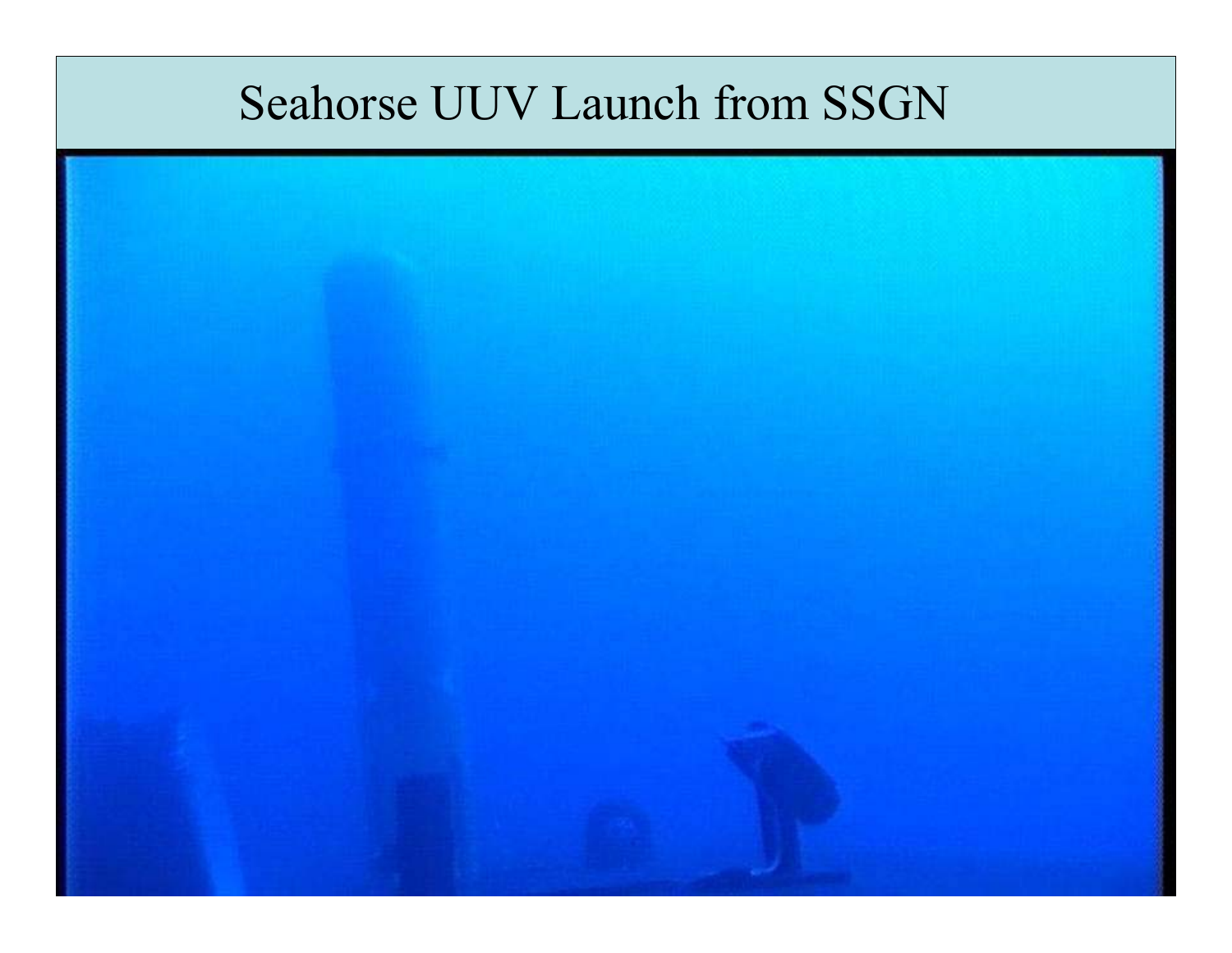# Seahorse UUV Launch from SSGN